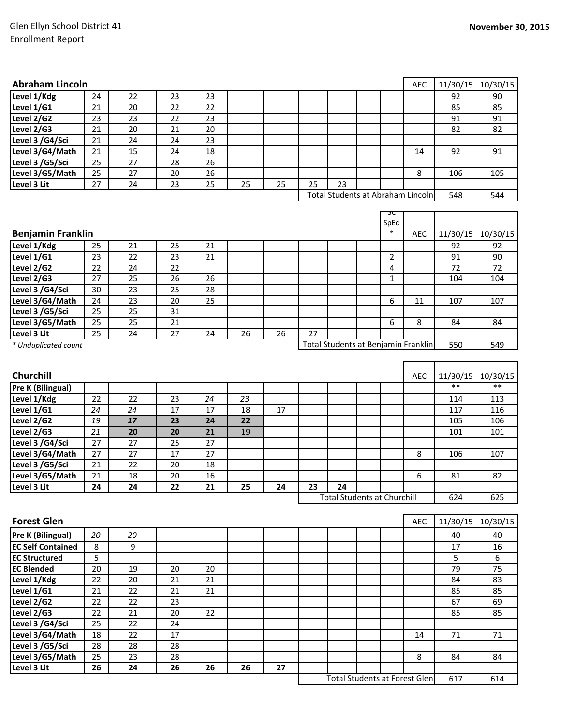| <b>Abraham Lincoln</b>                   |    |    |    |    |    |    |    |                                      |                | AEC        | 11/30/15 | 10/30/15 |
|------------------------------------------|----|----|----|----|----|----|----|--------------------------------------|----------------|------------|----------|----------|
| Level 1/Kdg                              | 24 | 22 | 23 | 23 |    |    |    |                                      |                |            | 92       | 90       |
| Level 1/G1                               | 21 | 20 | 22 | 22 |    |    |    |                                      |                |            | 85       | 85       |
| Level 2/G2                               | 23 | 23 | 22 | 23 |    |    |    |                                      |                |            | 91       | 91       |
| Level 2/G3                               | 21 | 20 | 21 | 20 |    |    |    |                                      |                |            | 82       | 82       |
| Level 3 /G4/Sci                          | 21 | 24 | 24 | 23 |    |    |    |                                      |                |            |          |          |
| Level 3/G4/Math                          | 21 | 15 | 24 | 18 |    |    |    |                                      |                | 14         | 92       | 91       |
| Level 3 /G5/Sci                          | 25 | 27 | 28 | 26 |    |    |    |                                      |                |            |          |          |
| Level 3/G5/Math                          | 25 | 27 | 20 | 26 |    |    |    |                                      |                | 8          | 106      | 105      |
| Level 3 Lit                              | 27 | 24 | 23 | 25 | 25 | 25 | 25 | 23                                   |                |            |          |          |
| <b>Total Students at Abraham Lincoln</b> |    |    |    |    |    |    |    |                                      | 548            | 544        |          |          |
|                                          |    |    |    |    |    |    |    |                                      |                |            |          |          |
|                                          |    |    |    |    |    |    |    |                                      | ᠍ᠴᡄ<br>SpEd    |            |          |          |
| <b>Benjamin Franklin</b>                 |    |    |    |    |    |    |    |                                      | $\ast$         | AEC        | 11/30/15 | 10/30/15 |
| Level 1/Kdg                              | 25 | 21 | 25 | 21 |    |    |    |                                      |                |            | 92       | 92       |
| Level 1/G1                               | 23 | 22 | 23 | 21 |    |    |    |                                      | $\overline{2}$ |            | 91       | 90       |
| Level 2/G2                               | 22 | 24 | 22 |    |    |    |    |                                      | 4              |            | 72       | 72       |
| Level $2/\overline{G3}$                  | 27 | 25 | 26 | 26 |    |    |    |                                      | $\mathbf{1}$   |            | 104      | 104      |
| Level 3 /G4/Sci                          | 30 | 23 | 25 | 28 |    |    |    |                                      |                |            |          |          |
| Level 3/G4/Math                          | 24 | 23 | 20 | 25 |    |    |    |                                      | 6              | 11         | 107      | 107      |
| Level 3 /G5/Sci                          | 25 | 25 | 31 |    |    |    |    |                                      |                |            |          |          |
| Level 3/G5/Math                          | 25 | 25 | 21 |    |    |    |    |                                      | 6              | 8          | 84       | 84       |
|                                          | 25 | 24 | 27 |    | 26 | 26 | 27 |                                      |                |            |          |          |
| Level 3 Lit                              |    |    |    | 24 |    |    |    |                                      |                |            | 550      | 549      |
| * Unduplicated count                     |    |    |    |    |    |    |    | Total Students at Benjamin Franklin  |                |            |          |          |
|                                          |    |    |    |    |    |    |    |                                      |                |            |          |          |
| Churchill                                |    |    |    |    |    |    |    |                                      |                | <b>AEC</b> | 11/30/15 | 10/30/15 |
| Pre K (Bilingual)                        |    |    |    |    |    |    |    |                                      |                |            | $**$     | $***$    |
| Level 1/Kdg                              | 22 | 22 | 23 | 24 | 23 |    |    |                                      |                |            | 114      | 113      |
| Level 1/G1                               | 24 | 24 | 17 | 17 | 18 | 17 |    |                                      |                |            | 117      | 116      |
| Level 2/G2                               | 19 | 17 | 23 | 24 | 22 |    |    |                                      |                |            | 105      | 106      |
| Level 2/G3                               | 21 | 20 | 20 | 21 | 19 |    |    |                                      |                |            | 101      | 101      |
|                                          |    |    |    | 27 |    |    |    |                                      |                |            |          |          |
| Level 3 /G4/Sci                          | 27 | 27 | 25 |    |    |    |    |                                      |                |            |          |          |
| Level 3/G4/Math                          | 27 | 27 | 17 | 27 |    |    |    |                                      |                | 8          | 106      | 107      |
| Level 3 /G5/Sci                          | 21 | 22 | 20 | 18 |    |    |    |                                      |                |            |          |          |
| Level 3/G5/Math                          | 21 | 18 | 20 | 16 |    |    |    |                                      |                | 6          | 81       | 82       |
| Level 3 Lit                              | 24 | 24 | 22 | 21 | 25 | 24 | 23 | 24                                   |                |            |          |          |
|                                          |    |    |    |    |    |    |    | <b>Total Students at Churchill</b>   |                |            | 624      | 625      |
| <b>Forest Glen</b>                       |    |    |    |    |    |    |    |                                      |                | AEC        | 11/30/15 | 10/30/15 |
|                                          |    |    |    |    |    |    |    |                                      |                |            |          |          |
| Pre K (Bilingual)                        | 20 | 20 |    |    |    |    |    |                                      |                |            | 40       | 40       |
| <b>EC Self Contained</b>                 | 8  | 9  |    |    |    |    |    |                                      |                |            | 17       | 16       |
| <b>EC Structured</b>                     | 5  |    |    |    |    |    |    |                                      |                |            | 5        | 6        |
| <b>EC Blended</b>                        | 20 | 19 | 20 | 20 |    |    |    |                                      |                |            | 79       | 75       |
| Level 1/Kdg                              | 22 | 20 | 21 | 21 |    |    |    |                                      |                |            | 84       | 83       |
| Level 1/G1                               | 21 | 22 | 21 | 21 |    |    |    |                                      |                |            | 85       | 85       |
| Level 2/G2                               | 22 | 22 | 23 |    |    |    |    |                                      |                |            | 67       | 69       |
| Level 2/G3                               | 22 | 21 | 20 | 22 |    |    |    |                                      |                |            | 85       | 85       |
| Level 3 /G4/Sci                          | 25 | 22 | 24 |    |    |    |    |                                      |                |            |          |          |
| Level 3/G4/Math                          | 18 | 22 | 17 |    |    |    |    |                                      |                | 14         | 71       | 71       |
| Level 3 /G5/Sci                          | 28 | 28 | 28 |    |    |    |    |                                      |                |            |          |          |
| Level 3/G5/Math                          | 25 | 23 | 28 |    |    |    |    |                                      |                | 8          | 84       | 84       |
| Level 3 Lit                              | 26 | 24 | 26 | 26 | 26 | 27 |    |                                      |                |            |          |          |
|                                          |    |    |    |    |    |    |    | <b>Total Students at Forest Glen</b> |                |            | 617      | 614      |